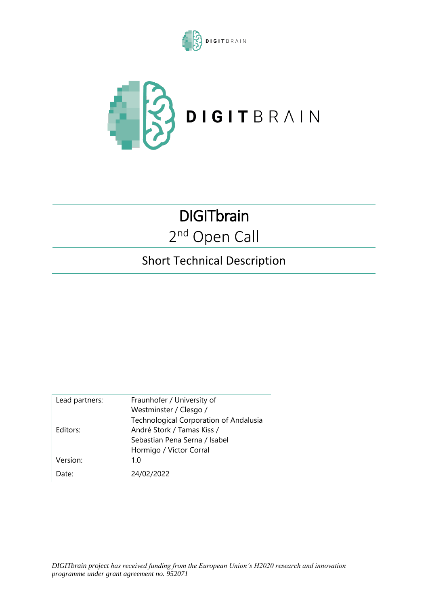



# **DIGITbrain** 2<sup>nd</sup> Open Call

# Short Technical Description

| Lead partners: | Fraunhofer / University of             |
|----------------|----------------------------------------|
|                | Westminster / Clesgo /                 |
|                | Technological Corporation of Andalusia |
| Editors:       | André Stork / Tamas Kiss /             |
|                | Sebastian Pena Serna / Isabel          |
|                | Hormigo / Víctor Corral                |
| Version:       | 1.0                                    |
| Date:          | 24/02/2022                             |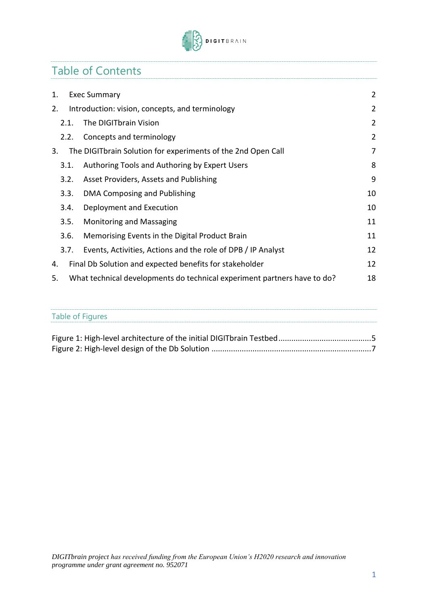

# Table of Contents

| 1. | <b>Exec Summary</b> |                                                                          |                |
|----|---------------------|--------------------------------------------------------------------------|----------------|
| 2. |                     | Introduction: vision, concepts, and terminology                          | 2              |
|    | 2.1.                | The DIGITbrain Vision                                                    | 2              |
|    | 2.2.                | Concepts and terminology                                                 | $\overline{2}$ |
| 3. |                     | The DIGIT brain Solution for experiments of the 2nd Open Call            | 7              |
|    | 3.1.                | Authoring Tools and Authoring by Expert Users                            | 8              |
|    | 3.2.                | Asset Providers, Assets and Publishing                                   | 9              |
|    | 3.3.                | DMA Composing and Publishing                                             | 10             |
|    | 3.4.                | Deployment and Execution                                                 | 10             |
|    | 3.5.                | <b>Monitoring and Massaging</b>                                          | 11             |
|    | 3.6.                | Memorising Events in the Digital Product Brain                           | 11             |
|    | 3.7.                | Events, Activities, Actions and the role of DPB / IP Analyst             | 12             |
| 4. |                     | Final Db Solution and expected benefits for stakeholder                  | 12             |
| 5. |                     | What technical developments do technical experiment partners have to do? | 18             |
|    |                     |                                                                          |                |

| Table of Figures                                                    |  |
|---------------------------------------------------------------------|--|
|                                                                     |  |
| Figure 1: High-level architecture of the initial DIGIThrain Testhed |  |

[Figure 1: High-level architecture of the initial DIGITbrain Testbed...........................................5](#page-5-0) Figure 2: High-level design of the Db Solution [..........................................................................7](#page-7-1)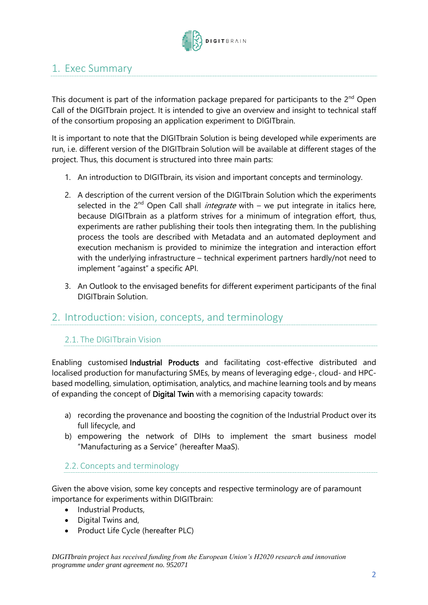

# <span id="page-2-0"></span>1. Exec Summary

This document is part of the information package prepared for participants to the 2<sup>nd</sup> Open Call of the DIGITbrain project. It is intended to give an overview and insight to technical staff of the consortium proposing an application experiment to DIGITbrain.

It is important to note that the DIGITbrain Solution is being developed while experiments are run, i.e. different version of the DIGITbrain Solution will be available at different stages of the project. Thus, this document is structured into three main parts:

- 1. An introduction to DIGITbrain, its vision and important concepts and terminology.
- 2. A description of the current version of the DIGITbrain Solution which the experiments selected in the 2<sup>nd</sup> Open Call shall *integrate* with – we put integrate in italics here, because DIGITbrain as a platform strives for a minimum of integration effort, thus, experiments are rather publishing their tools then integrating them. In the publishing process the tools are described with Metadata and an automated deployment and execution mechanism is provided to minimize the integration and interaction effort with the underlying infrastructure – technical experiment partners hardly/not need to implement "against" a specific API.
- 3. An Outlook to the envisaged benefits for different experiment participants of the final DIGITbrain Solution.

### <span id="page-2-2"></span><span id="page-2-1"></span>2. Introduction: vision, concepts, and terminology

#### 2.1. The DIGITbrain Vision

Enabling customised Industrial Products and facilitating cost-effective distributed and localised production for manufacturing SMEs, by means of leveraging edge-, cloud- and HPCbased modelling, simulation, optimisation, analytics, and machine learning tools and by means of expanding the concept of Digital Twin with a memorising capacity towards:

- a) recording the provenance and boosting the cognition of the Industrial Product over its full lifecycle, and
- b) empowering the network of DIHs to implement the smart business model "Manufacturing as a Service" (hereafter MaaS).

#### <span id="page-2-3"></span>2.2. Concepts and terminology

Given the above vision, some key concepts and respective terminology are of paramount importance for experiments within DIGITbrain:

- Industrial Products,
- Digital Twins and,
- Product Life Cycle (hereafter PLC)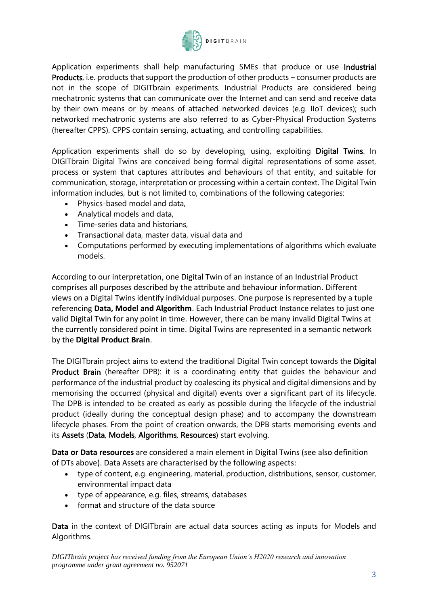

Application experiments shall help manufacturing SMEs that produce or use Industrial Products, i.e. products that support the production of other products – consumer products are not in the scope of DIGITbrain experiments. Industrial Products are considered being mechatronic systems that can communicate over the Internet and can send and receive data by their own means or by means of attached networked devices (e.g. IIoT devices); such networked mechatronic systems are also referred to as Cyber-Physical Production Systems (hereafter CPPS). CPPS contain sensing, actuating, and controlling capabilities.

Application experiments shall do so by developing, using, exploiting Digital Twins. In DIGITbrain Digital Twins are conceived being formal digital representations of some asset, process or system that captures attributes and behaviours of that entity, and suitable for communication, storage, interpretation or processing within a certain context. The Digital Twin information includes, but is not limited to, combinations of the following categories:

- Physics-based model and data,
- Analytical models and data,
- Time-series data and historians,
- Transactional data, master data, visual data and
- Computations performed by executing implementations of algorithms which evaluate models.

According to our interpretation, one Digital Twin of an instance of an Industrial Product comprises all purposes described by the attribute and behaviour information. Different views on a Digital Twins identify individual purposes. One purpose is represented by a tuple referencing **Data, Model and Algorithm**. Each Industrial Product Instance relates to just one valid Digital Twin for any point in time. However, there can be many invalid Digital Twins at the currently considered point in time. Digital Twins are represented in a semantic network by the **Digital Product Brain**.

The DIGITbrain project aims to extend the traditional Digital Twin concept towards the Digital Product Brain (hereafter DPB): it is a coordinating entity that quides the behaviour and performance of the industrial product by coalescing its physical and digital dimensions and by memorising the occurred (physical and digital) events over a significant part of its lifecycle. The DPB is intended to be created as early as possible during the lifecycle of the industrial product (ideally during the conceptual design phase) and to accompany the downstream lifecycle phases. From the point of creation onwards, the DPB starts memorising events and its Assets (Data, Models, Algorithms, Resources) start evolving.

**Data or Data resources** are considered a main element in Digital Twins (see also definition of DTs above). Data Assets are characterised by the following aspects:

- type of content, e.g. engineering, material, production, distributions, sensor, customer, environmental impact data
- type of appearance, e.g. files, streams, databases
- format and structure of the data source

Data in the context of DIGITbrain are actual data sources acting as inputs for Models and Algorithms.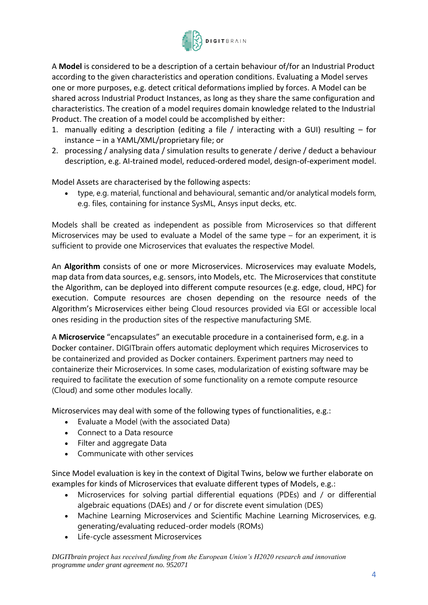

A **Model** is considered to be a description of a certain behaviour of/for an Industrial Product according to the given characteristics and operation conditions. Evaluating a Model serves one or more purposes, e.g. detect critical deformations implied by forces. A Model can be shared across Industrial Product Instances, as long as they share the same configuration and characteristics. The creation of a model requires domain knowledge related to the Industrial Product. The creation of a model could be accomplished by either:

- 1. manually editing a description (editing a file / interacting with a GUI) resulting for instance – in a YAML/XML/proprietary file; or
- 2. processing / analysing data / simulation results to generate / derive / deduct a behaviour description, e.g. AI-trained model, reduced-ordered model, design-of-experiment model.

Model Assets are characterised by the following aspects:

• type, e.g. material, functional and behavioural, semantic and/or analytical models form, e.g. files, containing for instance SysML, Ansys input decks, etc.

Models shall be created as independent as possible from Microservices so that different Microservices may be used to evaluate a Model of the same type – for an experiment, it is sufficient to provide one Microservices that evaluates the respective Model.

An **Algorithm** consists of one or more Microservices. Microservices may evaluate Models, map data from data sources, e.g. sensors, into Models, etc. The Microservices that constitute the Algorithm, can be deployed into different compute resources (e.g. edge, cloud, HPC) for execution. Compute resources are chosen depending on the resource needs of the Algorithm's Microservices either being Cloud resources provided via EGI or accessible local ones residing in the production sites of the respective manufacturing SME.

A **Microservice** "encapsulates" an executable procedure in a containerised form, e.g. in a Docker container. DIGITbrain offers automatic deployment which requires Microservices to be containerized and provided as Docker containers. Experiment partners may need to containerize their Microservices. In some cases, modularization of existing software may be required to facilitate the execution of some functionality on a remote compute resource (Cloud) and some other modules locally.

Microservices may deal with some of the following types of functionalities, e.g.:

- Evaluate a Model (with the associated Data)
- Connect to a Data resource
- Filter and aggregate Data
- Communicate with other services

Since Model evaluation is key in the context of Digital Twins, below we further elaborate on examples for kinds of Microservices that evaluate different types of Models, e.g.:

- Microservices for solving partial differential equations (PDEs) and / or differential algebraic equations (DAEs) and / or for discrete event simulation (DES)
- Machine Learning Microservices and Scientific Machine Learning Microservices, e.g. generating/evaluating reduced-order models (ROMs)
- Life-cycle assessment Microservices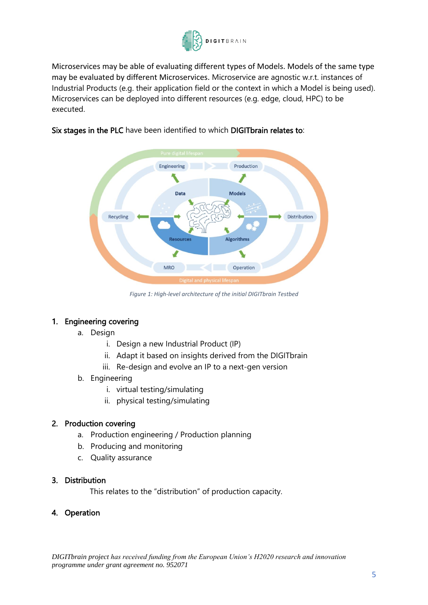

Microservices may be able of evaluating different types of Models. Models of the same type may be evaluated by different Microservices. Microservice are agnostic w.r.t. instances of Industrial Products (e.g. their application field or the context in which a Model is being used). Microservices can be deployed into different resources (e.g. edge, cloud, HPC) to be executed.



#### Six stages in the PLC have been identified to which DIGITbrain relates to:

*Figure 1: High-level architecture of the initial DIGITbrain Testbed*

#### <span id="page-5-0"></span>1. Engineering covering

- a. Design
	- i. Design a new Industrial Product (IP)
	- ii. Adapt it based on insights derived from the DIGITbrain
	- iii. Re-design and evolve an IP to a next-gen version
- b. Engineering
	- i. virtual testing/simulating
	- ii. physical testing/simulating

#### 2. Production covering

- a. Production engineering / Production planning
- b. Producing and monitoring
- c. Quality assurance

#### 3. Distribution

This relates to the "distribution" of production capacity.

#### 4. Operation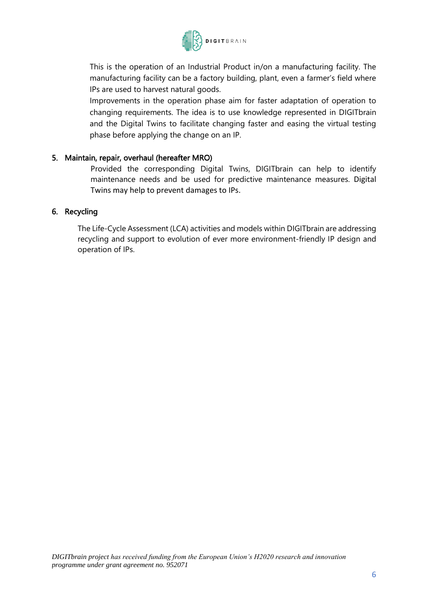

This is the operation of an Industrial Product in/on a manufacturing facility. The manufacturing facility can be a factory building, plant, even a farmer's field where IPs are used to harvest natural goods.

Improvements in the operation phase aim for faster adaptation of operation to changing requirements. The idea is to use knowledge represented in DIGITbrain and the Digital Twins to facilitate changing faster and easing the virtual testing phase before applying the change on an IP.

#### 5. Maintain, repair, overhaul (hereafter MRO)

Provided the corresponding Digital Twins, DIGITbrain can help to identify maintenance needs and be used for predictive maintenance measures. Digital Twins may help to prevent damages to IPs.

#### 6. Recycling

The Life-Cycle Assessment (LCA) activities and models within DIGITbrain are addressing recycling and support to evolution of ever more environment-friendly IP design and operation of IPs.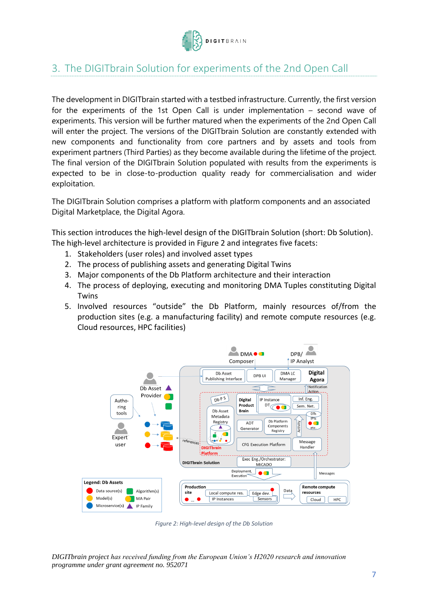

# <span id="page-7-0"></span>3. The DIGITbrain Solution for experiments of the 2nd Open Call

The development in DIGITbrain started with a testbed infrastructure. Currently, the first version for the experiments of the 1st Open Call is under implementation – second wave of experiments. This version will be further matured when the experiments of the 2nd Open Call will enter the project. The versions of the DIGITbrain Solution are constantly extended with new components and functionality from core partners and by assets and tools from experiment partners (Third Parties) as they become available during the lifetime of the project. The final version of the DIGITbrain Solution populated with results from the experiments is expected to be in close-to-production quality ready for commercialisation and wider exploitation.

The DIGITbrain Solution comprises a platform with platform components and an associated Digital Marketplace, the Digital Agora.

This section introduces the high-level design of the DIGITbrain Solution (short: Db Solution). The high-level architecture is provided in Figure 2 and integrates five facets:

- 1. Stakeholders (user roles) and involved asset types
- 2. The process of publishing assets and generating Digital Twins
- 3. Major components of the Db Platform architecture and their interaction
- 4. The process of deploying, executing and monitoring DMA Tuples constituting Digital Twins
- 5. Involved resources "outside" the Db Platform, mainly resources of/from the production sites (e.g. a manufacturing facility) and remote compute resources (e.g. Cloud resources, HPC facilities)



<span id="page-7-1"></span>*Figure 2: High-level design of the Db Solution*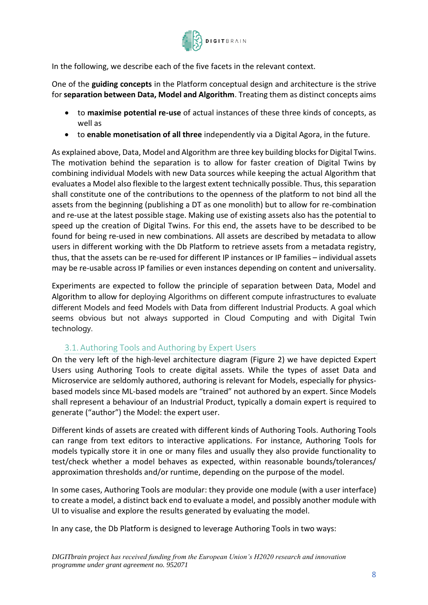

In the following, we describe each of the five facets in the relevant context.

One of the **guiding concepts** in the Platform conceptual design and architecture is the strive for **separation between Data, Model and Algorithm**. Treating them as distinct concepts aims

- to **maximise potential re-use** of actual instances of these three kinds of concepts, as well as
- to **enable monetisation of all three** independently via a Digital Agora, in the future.

As explained above, Data, Model and Algorithm are three key building blocks for Digital Twins. The motivation behind the separation is to allow for faster creation of Digital Twins by combining individual Models with new Data sources while keeping the actual Algorithm that evaluates a Model also flexible to the largest extent technically possible. Thus, this separation shall constitute one of the contributions to the openness of the platform to not bind all the assets from the beginning (publishing a DT as one monolith) but to allow for re-combination and re-use at the latest possible stage. Making use of existing assets also has the potential to speed up the creation of Digital Twins. For this end, the assets have to be described to be found for being re-used in new combinations. All assets are described by metadata to allow users in different working with the Db Platform to retrieve assets from a metadata registry, thus, that the assets can be re-used for different IP instances or IP families – individual assets may be re-usable across IP families or even instances depending on content and universality.

Experiments are expected to follow the principle of separation between Data, Model and Algorithm to allow for deploying Algorithms on different compute infrastructures to evaluate different Models and feed Models with Data from different Industrial Products. A goal which seems obvious but not always supported in Cloud Computing and with Digital Twin technology.

#### 3.1. Authoring Tools and Authoring by Expert Users

<span id="page-8-0"></span>On the very left of the high-level architecture diagram (Figure 2) we have depicted Expert Users using Authoring Tools to create digital assets. While the types of asset Data and Microservice are seldomly authored, authoring is relevant for Models, especially for physicsbased models since ML-based models are "trained" not authored by an expert. Since Models shall represent a behaviour of an Industrial Product, typically a domain expert is required to generate ("author") the Model: the expert user.

Different kinds of assets are created with different kinds of Authoring Tools. Authoring Tools can range from text editors to interactive applications. For instance, Authoring Tools for models typically store it in one or many files and usually they also provide functionality to test/check whether a model behaves as expected, within reasonable bounds/tolerances/ approximation thresholds and/or runtime, depending on the purpose of the model.

In some cases, Authoring Tools are modular: they provide one module (with a user interface) to create a model, a distinct back end to evaluate a model, and possibly another module with UI to visualise and explore the results generated by evaluating the model.

In any case, the Db Platform is designed to leverage Authoring Tools in two ways: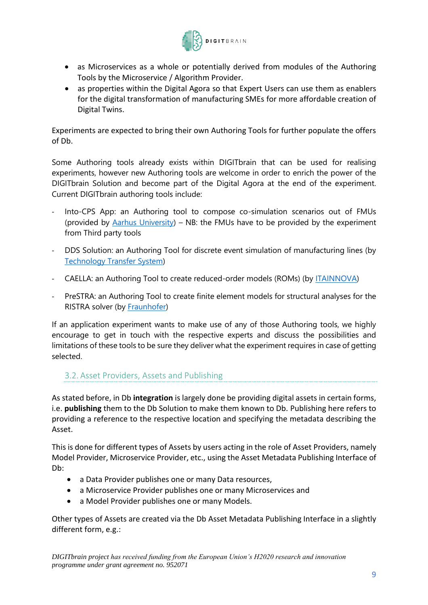

- as Microservices as a whole or potentially derived from modules of the Authoring Tools by the Microservice / Algorithm Provider.
- as properties within the Digital Agora so that Expert Users can use them as enablers for the digital transformation of manufacturing SMEs for more affordable creation of Digital Twins.

Experiments are expected to bring their own Authoring Tools for further populate the offers of Db.

Some Authoring tools already exists within DIGITbrain that can be used for realising experiments, however new Authoring tools are welcome in order to enrich the power of the DIGITbrain Solution and become part of the Digital Agora at the end of the experiment. Current DIGITbrain authoring tools include:

- Into-CPS App: an Authoring tool to compose co-simulation scenarios out of FMUs (provided by  $A$ arhus University) – NB: the FMUs have to be provided by the experiment from Third party tools
- DDS Solution: an Authoring Tool for discrete event simulation of manufacturing lines (by [Technology Transfer System\)](https://www.ttsnetwork.net/)
- CAELLA: an Authoring Tool to create reduced-order models (ROMs) (by **ITAINNOVA**)
- PreSTRA: an Authoring Tool to create finite element models for structural analyses for the RISTRA solver (by [Fraunhofer\)](https://www.fraunhofer.de/en.html)

If an application experiment wants to make use of any of those Authoring tools, we highly encourage to get in touch with the respective experts and discuss the possibilities and limitations of these tools to be sure they deliver what the experiment requires in case of getting selected.

#### <span id="page-9-0"></span>3.2. Asset Providers, Assets and Publishing

As stated before, in Db **integration** is largely done be providing digital assets in certain forms, i.e. **publishing** them to the Db Solution to make them known to Db. Publishing here refers to providing a reference to the respective location and specifying the metadata describing the Asset.

This is done for different types of Assets by users acting in the role of Asset Providers, namely Model Provider, Microservice Provider, etc., using the Asset Metadata Publishing Interface of Db:

- a Data Provider publishes one or many Data resources,
- a Microservice Provider publishes one or many Microservices and
- a Model Provider publishes one or many Models.

Other types of Assets are created via the Db Asset Metadata Publishing Interface in a slightly different form, e.g.: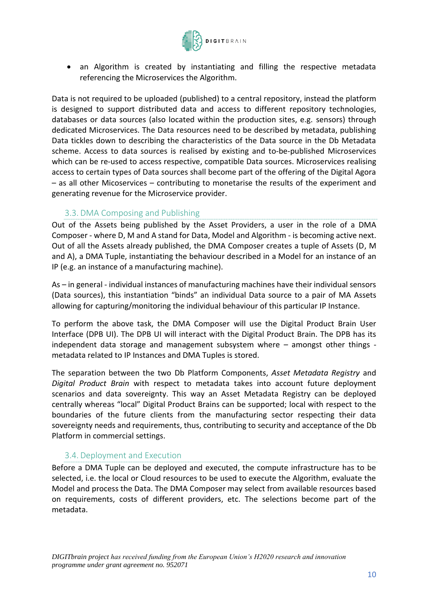

• an Algorithm is created by instantiating and filling the respective metadata referencing the Microservices the Algorithm.

Data is not required to be uploaded (published) to a central repository, instead the platform is designed to support distributed data and access to different repository technologies, databases or data sources (also located within the production sites, e.g. sensors) through dedicated Microservices. The Data resources need to be described by metadata, publishing Data tickles down to describing the characteristics of the Data source in the Db Metadata scheme. Access to data sources is realised by existing and to-be-published Microservices which can be re-used to access respective, compatible Data sources. Microservices realising access to certain types of Data sources shall become part of the offering of the Digital Agora – as all other Micoservices – contributing to monetarise the results of the experiment and generating revenue for the Microservice provider.

#### 3.3. DMA Composing and Publishing

<span id="page-10-0"></span>Out of the Assets being published by the Asset Providers, a user in the role of a DMA Composer - where D, M and A stand for Data, Model and Algorithm - is becoming active next. Out of all the Assets already published, the DMA Composer creates a tuple of Assets (D, M and A), a DMA Tuple, instantiating the behaviour described in a Model for an instance of an IP (e.g. an instance of a manufacturing machine).

As – in general - individual instances of manufacturing machines have their individual sensors (Data sources), this instantiation "binds" an individual Data source to a pair of MA Assets allowing for capturing/monitoring the individual behaviour of this particular IP Instance.

To perform the above task, the DMA Composer will use the Digital Product Brain User Interface (DPB UI). The DPB UI will interact with the Digital Product Brain. The DPB has its independent data storage and management subsystem where – amongst other things metadata related to IP Instances and DMA Tuples is stored.

The separation between the two Db Platform Components, *Asset Metadata Registry* and *Digital Product Brain* with respect to metadata takes into account future deployment scenarios and data sovereignty. This way an Asset Metadata Registry can be deployed centrally whereas "local" Digital Product Brains can be supported; local with respect to the boundaries of the future clients from the manufacturing sector respecting their data sovereignty needs and requirements, thus, contributing to security and acceptance of the Db Platform in commercial settings.

#### 3.4. Deployment and Execution

<span id="page-10-1"></span>Before a DMA Tuple can be deployed and executed, the compute infrastructure has to be selected, i.e. the local or Cloud resources to be used to execute the Algorithm, evaluate the Model and process the Data. The DMA Composer may select from available resources based on requirements, costs of different providers, etc. The selections become part of the metadata.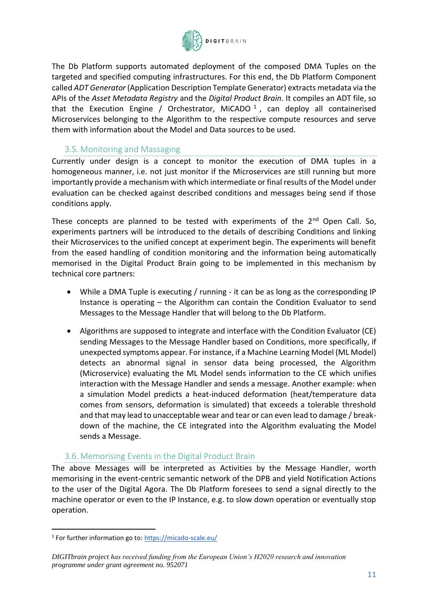

The Db Platform supports automated deployment of the composed DMA Tuples on the targeted and specified computing infrastructures. For this end, the Db Platform Component called *ADT Generator* (Application Description Template Generator) extracts metadata via the APIs of the *Asset Metadata Registry* and the *Digital Product Brain*. It compiles an ADT file, so that the Execution Engine / Orchestrator, MiCADO  $^1$  , can deploy all containerised Microservices belonging to the Algorithm to the respective compute resources and serve them with information about the Model and Data sources to be used.

#### 3.5. Monitoring and Massaging

<span id="page-11-0"></span>Currently under design is a concept to monitor the execution of DMA tuples in a homogeneous manner, i.e. not just monitor if the Microservices are still running but more importantly provide a mechanism with which intermediate or final results of the Model under evaluation can be checked against described conditions and messages being send if those conditions apply.

These concepts are planned to be tested with experiments of the 2<sup>nd</sup> Open Call. So, experiments partners will be introduced to the details of describing Conditions and linking their Microservices to the unified concept at experiment begin. The experiments will benefit from the eased handling of condition monitoring and the information being automatically memorised in the Digital Product Brain going to be implemented in this mechanism by technical core partners:

- While a DMA Tuple is executing / running it can be as long as the corresponding IP Instance is operating – the Algorithm can contain the Condition Evaluator to send Messages to the Message Handler that will belong to the Db Platform.
- Algorithms are supposed to integrate and interface with the Condition Evaluator (CE) sending Messages to the Message Handler based on Conditions, more specifically, if unexpected symptoms appear. For instance, if a Machine Learning Model (ML Model) detects an abnormal signal in sensor data being processed, the Algorithm (Microservice) evaluating the ML Model sends information to the CE which unifies interaction with the Message Handler and sends a message. Another example: when a simulation Model predicts a heat-induced deformation (heat/temperature data comes from sensors, deformation is simulated) that exceeds a tolerable threshold and that may lead to unacceptable wear and tear or can even lead to damage / breakdown of the machine, the CE integrated into the Algorithm evaluating the Model sends a Message.

#### <span id="page-11-1"></span>3.6. Memorising Events in the Digital Product Brain

The above Messages will be interpreted as Activities by the Message Handler, worth memorising in the event-centric semantic network of the DPB and yield Notification Actions to the user of the Digital Agora. The Db Platform foresees to send a signal directly to the machine operator or even to the IP Instance, e.g. to slow down operation or eventually stop operation.

<sup>&</sup>lt;sup>1</sup> For further information go to[: https://micado-scale.eu/](https://micado-scale.eu/)

<sup>11</sup> *DIGITbrain project has received funding from the European Union's H2020 research and innovation programme under grant agreement no. 952071*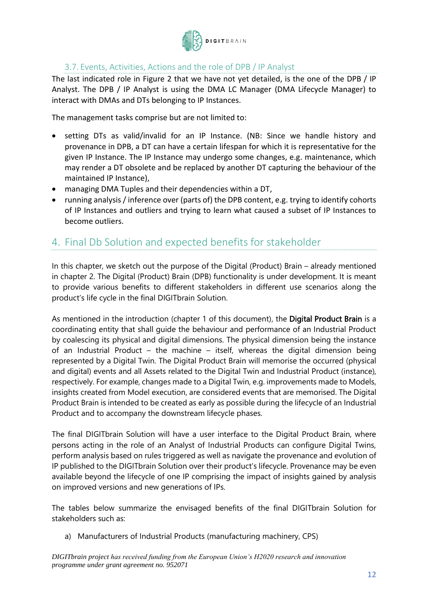

#### 3.7. Events, Activities, Actions and the role of DPB / IP Analyst

<span id="page-12-0"></span>The last indicated role in Figure 2 that we have not yet detailed, is the one of the DPB / IP Analyst. The DPB / IP Analyst is using the DMA LC Manager (DMA Lifecycle Manager) to interact with DMAs and DTs belonging to IP Instances.

The management tasks comprise but are not limited to:

- setting DTs as valid/invalid for an IP Instance. (NB: Since we handle history and provenance in DPB, a DT can have a certain lifespan for which it is representative for the given IP Instance. The IP Instance may undergo some changes, e.g. maintenance, which may render a DT obsolete and be replaced by another DT capturing the behaviour of the maintained IP Instance),
- managing DMA Tuples and their dependencies within a DT,
- running analysis / inference over (parts of) the DPB content, e.g. trying to identify cohorts of IP Instances and outliers and trying to learn what caused a subset of IP Instances to become outliers.

### <span id="page-12-1"></span>4. Final Db Solution and expected benefits for stakeholder

In this chapter, we sketch out the purpose of the Digital (Product) Brain – already mentioned in chapter 2. The Digital (Product) Brain (DPB) functionality is under development. It is meant to provide various benefits to different stakeholders in different use scenarios along the product's life cycle in the final DIGITbrain Solution.

As mentioned in the introduction (chapter 1 of this document), the Digital Product Brain is a coordinating entity that shall guide the behaviour and performance of an Industrial Product by coalescing its physical and digital dimensions. The physical dimension being the instance of an Industrial Product – the machine – itself, whereas the digital dimension being represented by a Digital Twin. The Digital Product Brain will memorise the occurred (physical and digital) events and all Assets related to the Digital Twin and Industrial Product (instance), respectively. For example, changes made to a Digital Twin, e.g. improvements made to Models, insights created from Model execution, are considered events that are memorised. The Digital Product Brain is intended to be created as early as possible during the lifecycle of an Industrial Product and to accompany the downstream lifecycle phases.

The final DIGITbrain Solution will have a user interface to the Digital Product Brain, where persons acting in the role of an Analyst of Industrial Products can configure Digital Twins, perform analysis based on rules triggered as well as navigate the provenance and evolution of IP published to the DIGITbrain Solution over their product's lifecycle. Provenance may be even available beyond the lifecycle of one IP comprising the impact of insights gained by analysis on improved versions and new generations of IPs.

The tables below summarize the envisaged benefits of the final DIGITbrain Solution for stakeholders such as:

a) Manufacturers of Industrial Products (manufacturing machinery, CPS)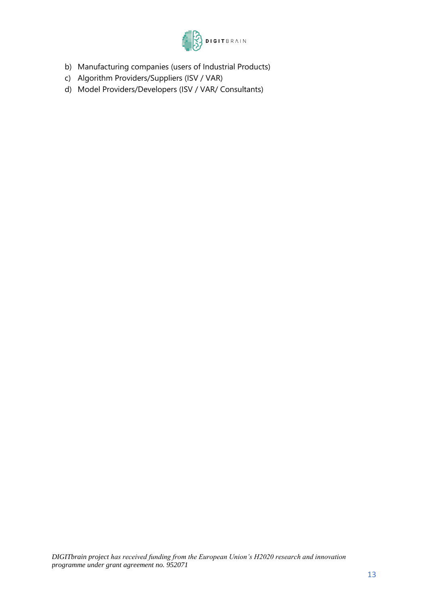

- b) Manufacturing companies (users of Industrial Products)
- c) Algorithm Providers/Suppliers (ISV / VAR)
- d) Model Providers/Developers (ISV / VAR/ Consultants)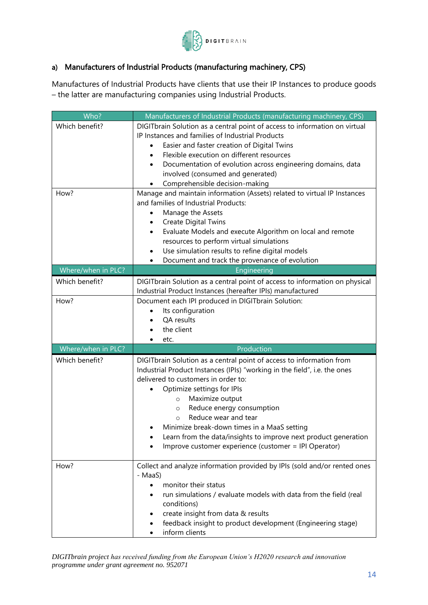

#### a) Manufacturers of Industrial Products (manufacturing machinery, CPS)

Manufactures of Industrial Products have clients that use their IP Instances to produce goods – the latter are manufacturing companies using Industrial Products.

| Who?               | Manufacturers of Industrial Products (manufacturing machinery, CPS)                        |
|--------------------|--------------------------------------------------------------------------------------------|
| Which benefit?     | DIGITbrain Solution as a central point of access to information on virtual                 |
|                    | IP Instances and families of Industrial Products                                           |
|                    | Easier and faster creation of Digital Twins                                                |
|                    | Flexible execution on different resources<br>$\bullet$                                     |
|                    | Documentation of evolution across engineering domains, data<br>$\bullet$                   |
|                    | involved (consumed and generated)                                                          |
|                    | Comprehensible decision-making                                                             |
| How?               | Manage and maintain information (Assets) related to virtual IP Instances                   |
|                    | and families of Industrial Products:                                                       |
|                    | Manage the Assets<br>$\bullet$                                                             |
|                    | <b>Create Digital Twins</b><br>٠                                                           |
|                    | Evaluate Models and execute Algorithm on local and remote<br>$\bullet$                     |
|                    | resources to perform virtual simulations                                                   |
|                    | Use simulation results to refine digital models<br>$\bullet$                               |
|                    | Document and track the provenance of evolution                                             |
| Where/when in PLC? | Engineering                                                                                |
| Which benefit?     | DIGITbrain Solution as a central point of access to information on physical                |
|                    | Industrial Product Instances (hereafter IPIs) manufactured                                 |
| How?               | Document each IPI produced in DIGITbrain Solution:                                         |
|                    | Its configuration<br>$\bullet$                                                             |
|                    | QA results                                                                                 |
|                    |                                                                                            |
|                    | the client                                                                                 |
|                    | etc.                                                                                       |
| Where/when in PLC? | Production                                                                                 |
| Which benefit?     | DIGITbrain Solution as a central point of access to information from                       |
|                    | Industrial Product Instances (IPIs) "working in the field", i.e. the ones                  |
|                    | delivered to customers in order to:                                                        |
|                    | Optimize settings for IPIs                                                                 |
|                    | Maximize output<br>$\circ$                                                                 |
|                    | Reduce energy consumption<br>$\circ$                                                       |
|                    | Reduce wear and tear<br>$\circ$                                                            |
|                    | Minimize break-down times in a MaaS setting                                                |
|                    | Learn from the data/insights to improve next product generation                            |
|                    | Improve customer experience (customer = IPI Operator)                                      |
|                    |                                                                                            |
| How?               | Collect and analyze information provided by IPIs (sold and/or rented ones                  |
|                    | - MaaS)                                                                                    |
|                    | monitor their status                                                                       |
|                    | run simulations / evaluate models with data from the field (real<br>$\bullet$              |
|                    | conditions)                                                                                |
|                    | create insight from data & results<br>٠                                                    |
|                    | feedback insight to product development (Engineering stage)<br>$\bullet$<br>inform clients |

<sup>14</sup> *DIGITbrain project has received funding from the European Union's H2020 research and innovation programme under grant agreement no. 952071*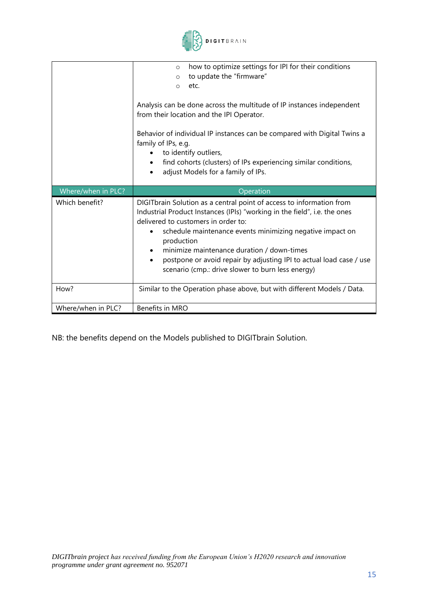

|                    | how to optimize settings for IPI for their conditions<br>$\circ$<br>to update the "firmware"<br>$\circ$<br>etc.<br>$\circ$                                                                                                                                                                                                                                                                         |
|--------------------|----------------------------------------------------------------------------------------------------------------------------------------------------------------------------------------------------------------------------------------------------------------------------------------------------------------------------------------------------------------------------------------------------|
|                    | Analysis can be done across the multitude of IP instances independent<br>from their location and the IPI Operator.                                                                                                                                                                                                                                                                                 |
|                    | Behavior of individual IP instances can be compared with Digital Twins a<br>family of IPs, e.g.<br>to identify outliers,<br>find cohorts (clusters) of IPs experiencing similar conditions,<br>adjust Models for a family of IPs.                                                                                                                                                                  |
|                    |                                                                                                                                                                                                                                                                                                                                                                                                    |
| Where/when in PLC? | Operation                                                                                                                                                                                                                                                                                                                                                                                          |
| Which benefit?     | DIGITbrain Solution as a central point of access to information from<br>Industrial Product Instances (IPIs) "working in the field", i.e. the ones<br>delivered to customers in order to:<br>schedule maintenance events minimizing negative impact on<br>٠<br>production<br>minimize maintenance duration / down-times<br>٠<br>postpone or avoid repair by adjusting IPI to actual load case / use |
|                    | scenario (cmp.: drive slower to burn less energy)                                                                                                                                                                                                                                                                                                                                                  |
| How?               | Similar to the Operation phase above, but with different Models / Data.                                                                                                                                                                                                                                                                                                                            |

NB: the benefits depend on the Models published to DIGITbrain Solution.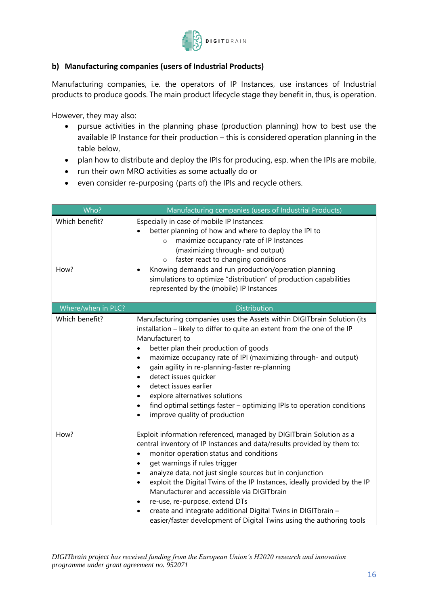

#### **b) Manufacturing companies (users of Industrial Products)**

Manufacturing companies, i.e. the operators of IP Instances, use instances of Industrial products to produce goods. The main product lifecycle stage they benefit in, thus, is operation.

However, they may also:

- pursue activities in the planning phase (production planning) how to best use the available IP Instance for their production – this is considered operation planning in the table below,
- plan how to distribute and deploy the IPIs for producing, esp. when the IPIs are mobile,
- run their own MRO activities as some actually do or
- even consider re-purposing (parts of) the IPIs and recycle others.

| Who?               | Manufacturing companies (users of Industrial Products)                                                                                                                                                                                                                                                                                                                                                                                                                                                                                                                                                                                                        |
|--------------------|---------------------------------------------------------------------------------------------------------------------------------------------------------------------------------------------------------------------------------------------------------------------------------------------------------------------------------------------------------------------------------------------------------------------------------------------------------------------------------------------------------------------------------------------------------------------------------------------------------------------------------------------------------------|
| Which benefit?     | Especially in case of mobile IP Instances:<br>better planning of how and where to deploy the IPI to<br>maximize occupancy rate of IP Instances<br>$\circ$<br>(maximizing through- and output)<br>faster react to changing conditions<br>$\circ$                                                                                                                                                                                                                                                                                                                                                                                                               |
| How?               | Knowing demands and run production/operation planning<br>$\bullet$<br>simulations to optimize "distribution" of production capabilities<br>represented by the (mobile) IP Instances                                                                                                                                                                                                                                                                                                                                                                                                                                                                           |
| Where/when in PLC? | <b>Distribution</b>                                                                                                                                                                                                                                                                                                                                                                                                                                                                                                                                                                                                                                           |
| Which benefit?     | Manufacturing companies uses the Assets within DIGITbrain Solution (its<br>installation - likely to differ to quite an extent from the one of the IP<br>Manufacturer) to<br>better plan their production of goods<br>$\bullet$<br>maximize occupancy rate of IPI (maximizing through- and output)<br>$\bullet$<br>gain agility in re-planning-faster re-planning<br>$\bullet$<br>detect issues quicker<br>$\bullet$<br>detect issues earlier<br>$\bullet$<br>explore alternatives solutions<br>$\bullet$<br>find optimal settings faster - optimizing IPIs to operation conditions<br>$\bullet$<br>improve quality of production<br>$\bullet$                 |
| How?               | Exploit information referenced, managed by DIGITbrain Solution as a<br>central inventory of IP Instances and data/results provided by them to:<br>monitor operation status and conditions<br>$\bullet$<br>get warnings if rules trigger<br>$\bullet$<br>analyze data, not just single sources but in conjunction<br>$\bullet$<br>exploit the Digital Twins of the IP Instances, ideally provided by the IP<br>$\bullet$<br>Manufacturer and accessible via DIGITbrain<br>re-use, re-purpose, extend DTs<br>$\bullet$<br>create and integrate additional Digital Twins in DIGITbrain -<br>easier/faster development of Digital Twins using the authoring tools |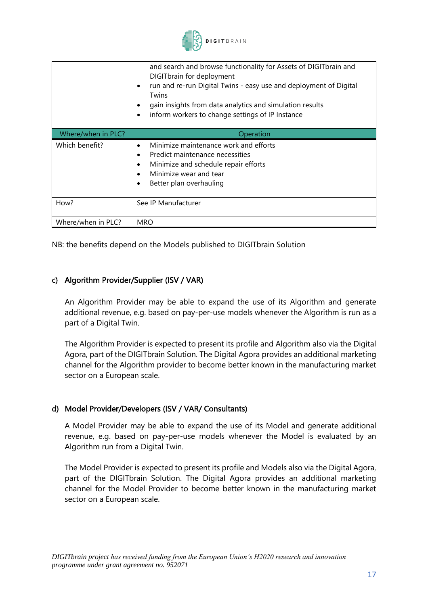

|                    | and search and browse functionality for Assets of DIGITbrain and<br>DIGITbrain for deployment<br>run and re-run Digital Twins - easy use and deployment of Digital<br>Twins<br>gain insights from data analytics and simulation results<br>inform workers to change settings of IP Instance |
|--------------------|---------------------------------------------------------------------------------------------------------------------------------------------------------------------------------------------------------------------------------------------------------------------------------------------|
| Where/when in PLC? | Operation                                                                                                                                                                                                                                                                                   |
| Which benefit?     | Minimize maintenance work and efforts<br>Predict maintenance necessities<br>Minimize and schedule repair efforts<br>Minimize wear and tear<br>Better plan overhauling                                                                                                                       |
| How?               | See IP Manufacturer                                                                                                                                                                                                                                                                         |
| Where/when in PLC? | <b>MRO</b>                                                                                                                                                                                                                                                                                  |

NB: the benefits depend on the Models published to DIGITbrain Solution

#### c) Algorithm Provider/Supplier (ISV / VAR)

An Algorithm Provider may be able to expand the use of its Algorithm and generate additional revenue, e.g. based on pay-per-use models whenever the Algorithm is run as a part of a Digital Twin.

The Algorithm Provider is expected to present its profile and Algorithm also via the Digital Agora, part of the DIGITbrain Solution. The Digital Agora provides an additional marketing channel for the Algorithm provider to become better known in the manufacturing market sector on a European scale.

#### d) Model Provider/Developers (ISV / VAR/ Consultants)

A Model Provider may be able to expand the use of its Model and generate additional revenue, e.g. based on pay-per-use models whenever the Model is evaluated by an Algorithm run from a Digital Twin.

The Model Provider is expected to present its profile and Models also via the Digital Agora, part of the DIGITbrain Solution. The Digital Agora provides an additional marketing channel for the Model Provider to become better known in the manufacturing market sector on a European scale.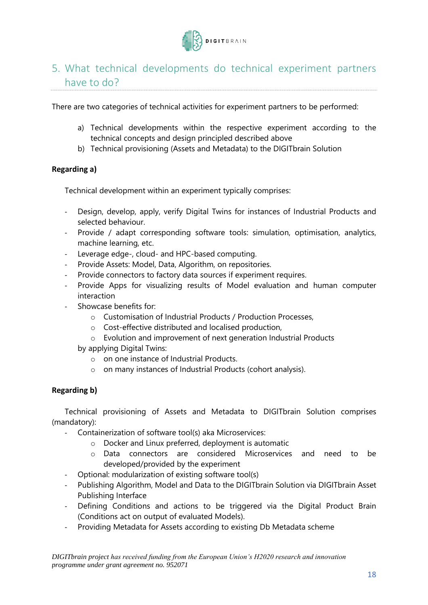

## <span id="page-18-0"></span>5. What technical developments do technical experiment partners have to do?

There are two categories of technical activities for experiment partners to be performed:

- a) Technical developments within the respective experiment according to the technical concepts and design principled described above
- b) Technical provisioning (Assets and Metadata) to the DIGITbrain Solution

#### **Regarding a)**

Technical development within an experiment typically comprises:

- Design, develop, apply, verify Digital Twins for instances of Industrial Products and selected behaviour.
- Provide / adapt corresponding software tools: simulation, optimisation, analytics, machine learning, etc.
- Leverage edge-, cloud- and HPC-based computing.
- Provide Assets: Model, Data, Algorithm, on repositories.
- Provide connectors to factory data sources if experiment requires.
- Provide Apps for visualizing results of Model evaluation and human computer interaction
- Showcase benefits for:
	- o Customisation of Industrial Products / Production Processes,
	- o Cost-effective distributed and localised production,
	- o Evolution and improvement of next generation Industrial Products
	- by applying Digital Twins:
		- o on one instance of Industrial Products.
		- o on many instances of Industrial Products (cohort analysis).

#### **Regarding b)**

Technical provisioning of Assets and Metadata to DIGITbrain Solution comprises (mandatory):

- Containerization of software tool(s) aka Microservices:
	- o Docker and Linux preferred, deployment is automatic
	- o Data connectors are considered Microservices and need to be developed/provided by the experiment
- Optional: modularization of existing software tool(s)
- Publishing Algorithm, Model and Data to the DIGITbrain Solution via DIGITbrain Asset Publishing Interface
- Defining Conditions and actions to be triggered via the Digital Product Brain (Conditions act on output of evaluated Models).
- Providing Metadata for Assets according to existing Db Metadata scheme